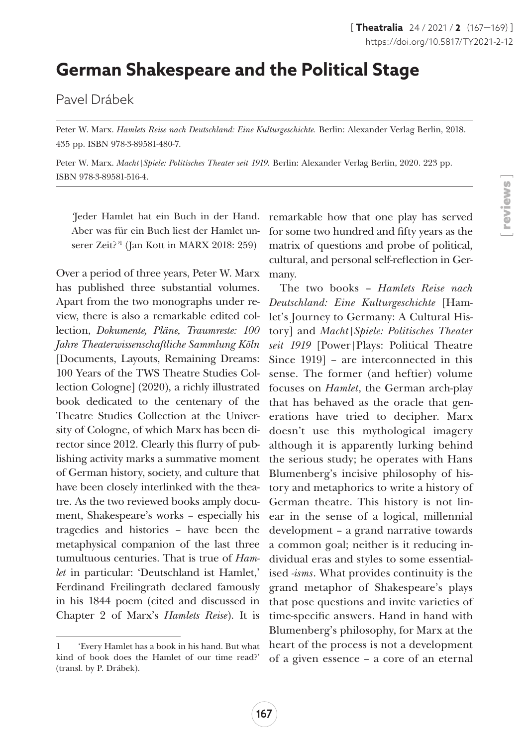## **German Shakespeare and the Political Stage**

Pavel Drábek

Peter W. Marx. *Hamlets Reise nach Deutschland: Eine Kulturgeschichte*. Berlin: Alexander Verlag Berlin, 2018. 435 pp. ISBN 978-3-89581-480-7.

Peter W. Marx. *Macht|Spiele: Politisches Theater seit 1919.* Berlin: Alexander Verlag Berlin, 2020. 223 pp. ISBN 978-3-89581-516-4.

*'*Jeder Hamlet hat ein Buch in der Hand. Aber was für ein Buch liest der Hamlet unserer Zeit?*'* 1 (Jan Kott in MARX 2018: 259)

Over a period of three years, Peter W. Marx has published three substantial volumes. Apart from the two monographs under review, there is also a remarkable edited collection, *Dokumente, Pläne, Traumreste: 100 Jahre Theaterwissenschaftliche Sammlung Köln* [Documents, Layouts, Remaining Dreams: 100 Years of the TWS Theatre Studies Collection Cologne] (2020), a richly illustrated book dedicated to the centenary of the Theatre Studies Collection at the University of Cologne, of which Marx has been director since 2012. Clearly this flurry of publishing activity marks a summative moment of German history, society, and culture that have been closely interlinked with the theatre. As the two reviewed books amply document, Shakespeare's works – especially his tragedies and histories – have been the metaphysical companion of the last three tumultuous centuries. That is true of *Hamlet* in particular: 'Deutschland ist Hamlet,' Ferdinand Freilingrath declared famously in his 1844 poem (cited and discussed in Chapter 2 of Marx's *Hamlets Reise*). It is

remarkable how that one play has served for some two hundred and fifty years as the matrix of questions and probe of political, cultural, and personal self-reflection in Germany.

The two books – *Hamlets Reise nach Deutschland: Eine Kulturgeschichte* [Hamlet's Journey to Germany: A Cultural History] and *Macht|Spiele: Politisches Theater seit 1919* [Power|Plays: Political Theatre Since 1919] – are interconnected in this sense. The former (and heftier) volume focuses on *Hamlet*, the German arch-play that has behaved as the oracle that generations have tried to decipher. Marx doesn't use this mythological imagery although it is apparently lurking behind the serious study; he operates with Hans Blumenberg's incisive philosophy of history and metaphorics to write a history of German theatre. This history is not linear in the sense of a logical, millennial development – a grand narrative towards a common goal; neither is it reducing individual eras and styles to some essentialised *-isms*. What provides continuity is the grand metaphor of Shakespeare's plays that pose questions and invite varieties of time-specific answers. Hand in hand with Blumenberg's philosophy, for Marx at the heart of the process is not a development of a given essence – a core of an eternal

<sup>1 &#</sup>x27;Every Hamlet has a book in his hand. But what kind of book does the Hamlet of our time read?' (transl. by P. Drábek).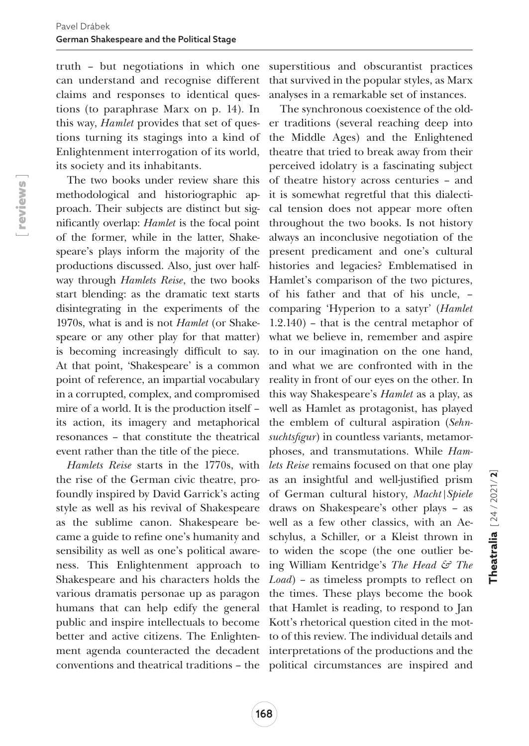truth – but negotiations in which one can understand and recognise different claims and responses to identical questions (to paraphrase Marx on p. 14). In this way, *Hamlet* provides that set of questions turning its stagings into a kind of Enlightenment interrogation of its world, its society and its inhabitants.

The two books under review share this methodological and historiographic approach. Their subjects are distinct but significantly overlap: *Hamlet* is the focal point of the former, while in the latter, Shakespeare's plays inform the majority of the productions discussed. Also, just over halfway through *Hamlets Reise*, the two books start blending: as the dramatic text starts disintegrating in the experiments of the 1970s, what is and is not *Hamlet* (or Shakespeare or any other play for that matter) is becoming increasingly difficult to say. At that point, 'Shakespeare' is a common point of reference, an impartial vocabulary in a corrupted, complex, and compromised mire of a world. It is the production itself – its action, its imagery and metaphorical resonances – that constitute the theatrical event rather than the title of the piece.

*Hamlets Reise* starts in the 1770s, with the rise of the German civic theatre, profoundly inspired by David Garrick's acting style as well as his revival of Shakespeare as the sublime canon. Shakespeare became a guide to refine one's humanity and sensibility as well as one's political awareness. This Enlightenment approach to Shakespeare and his characters holds the various dramatis personae up as paragon humans that can help edify the general public and inspire intellectuals to become better and active citizens. The Enlightenconventions and theatrical traditions – the political circumstances are inspired and

superstitious and obscurantist practices that survived in the popular styles, as Marx analyses in a remarkable set of instances.

ment agenda counteracted the decadent interpretations of the productions and the The synchronous coexistence of the older traditions (several reaching deep into the Middle Ages) and the Enlightened theatre that tried to break away from their perceived idolatry is a fascinating subject of theatre history across centuries – and it is somewhat regretful that this dialectical tension does not appear more often throughout the two books. Is not history always an inconclusive negotiation of the present predicament and one's cultural histories and legacies? Emblematised in Hamlet's comparison of the two pictures, of his father and that of his uncle, – comparing 'Hyperion to a satyr' (*Hamlet* 1.2.140) – that is the central metaphor of what we believe in, remember and aspire to in our imagination on the one hand, and what we are confronted with in the reality in front of our eyes on the other. In this way Shakespeare's *Hamlet* as a play, as well as Hamlet as protagonist, has played the emblem of cultural aspiration (*Sehnsuchtsfigur*) in countless variants, metamorphoses, and transmutations. While *Hamlets Reise* remains focused on that one play as an insightful and well-justified prism of German cultural history, *Macht|Spiele* draws on Shakespeare's other plays – as well as a few other classics, with an Aeschylus, a Schiller, or a Kleist thrown in to widen the scope (the one outlier being William Kentridge's *The Head & The Load*) – as timeless prompts to reflect on the times. These plays become the book that Hamlet is reading, to respond to Jan Kott's rhetorical question cited in the motto of this review. The individual details and